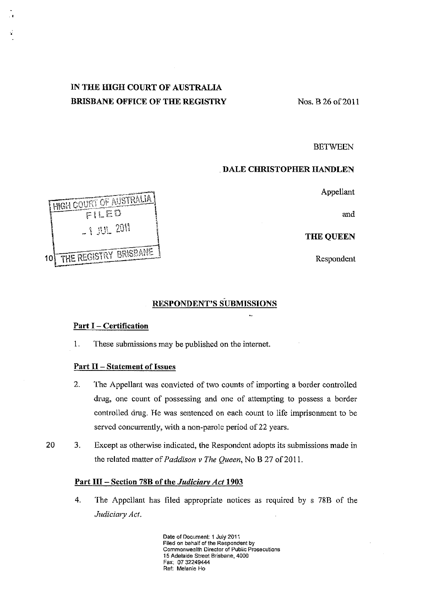# IN THE HIGH COURT OF AUSTRALIA BRISBANE OFFICE OF THE REGISTRY Nos. B 26 of 2011

**BETWEEN** 

# . DALE CHRISTOPHER HANDLEN

Appellant

and

THE QUEEN

# RESPONDENT'S SUBMISSIONS

## Part I - Certification

1. These submissions may be published on the internet.

# Part II - Statement of Issues

- 2. The Appellant was convicted of two counts of importing a border controlled drug, one count of possessing and onc of attempting to possess a border controlled drug. He was sentenced on each count to life imprisonment to be served concurrently, with a non-parole period of 22 years.
- 20 3. Except as otherwise indicated, the Respondent adopts its submissions made in the related matter of *Paddison v The Queen*, No B 27 of 2011.

#### Part III - Section 78B of the *Judiciarv Act* 1903

4. The Appellant has filed appropriate notices as required by s 78B of the Judiciary Act.

> Date of Document: 1 July 2011 Filed on behalf of the Respondent by Commonwealth Director of Public Prosecutions 15 Adelaide Street Brisbane, 4000 Fax: 0732249444 Ref: Melanie Ho



•

".'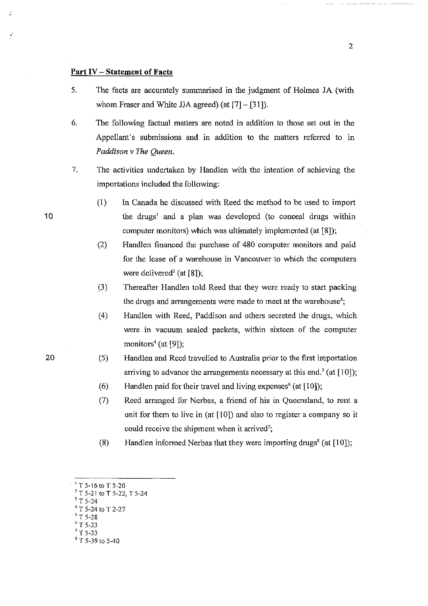### **Part IV** - Statement of Facts

- 5. The facts are accurately summarised in the judgment of Holmes JA (with whom Fraser and White JJA agreed) (at  $[7] - [31]$ ).
- 6. The following factual matters are noted in addition to those set out in the Appellant's submissions and in addition to the matters referred to in *Paddison* v *The Queen.*
- 7. The activities undertaken by Handlen with the intention of achieving the importations included the following:
	- (I) In Canada he discussed with Reed the method to be used to import the drugs' and a plan was devclopcd (to conceal dmgs within computer monitors) which was ultimately implemented (at [8]);
	- (2) Handlen financed the purchase of 480 computer monitors and paid for the lease of a warehouse in Vancouver to which the computers were delivered<sup>2</sup> (at  $[8]$ );
	- (3) Thereafter Handlen told Reed that they were ready to start packing the drugs and arrangements were made to meet at the warehouse<sup>3</sup>;
	- (4) Handlen with Reed, Paddison and others secreted the drugs, which were in vacuum sealed packets, within sixteen of the computer monitors<sup>4</sup> (at [9]);
	- (5) Handlen and Reed travelled to Australia prior to the first importation arriving to advance the arrangements necessary at this end.<sup>5</sup> (at [10]);
	- (6) Handlen paid for their travel and living expenses' (at [10]);
	- (7) Reed arranged for Nerbas, a friend of his in Queensland, to rent a unit for them to live in (at [10]) and also to register a company so it could receive the shipment when it arrived';
	- (8) Handlen informed Nerbas that they were importing drugs<sup>8</sup> (at  $[10]$ );
- 'T 5-16 to T 5-20

- 5 T 5-28
- $T$  5-33  $'$  T 5-33
- $8^8$  T 5-39 to 5-40

20

10

 $2^2$  T 5-21 to T 5-22, T 5-24

 $T$  5-24

T 5-24 to T 2-27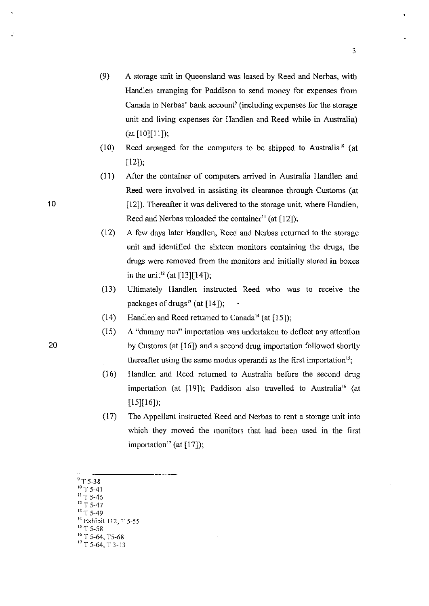- (9) A storage unit in Queensland was leased by Reed and Nerbas, with Handlen arranging for Paddison to send money for expenses from Canada to Nerbas' bank account<sup>9</sup> (including expenses for the storage unit and living expenses for Handlen and Reed while in Australia) (at [10][11]);
- (10) Reed arranged for the computers to be shipped to Australia<sup>10</sup> (at  $[12]$ ;
- (11) Aftcr the container of computers arrived in Australia Handlen and Reed were involved in assisting its clearance through Customs (at [12]). Thereafter it was delivered to the storage unit, where Handlen, Reed and Nerbas unloaded the container<sup>11</sup> (at  $[12]$ );
- (12) A few days later Handlen, Reed and Nerbas returned to the storage unit and identified the sixteen monitors containing the drugs, the drugs were removed from the monitors and initially stored in boxes in the unit<sup>12</sup> (at [13][14]);
- (13) Ultimately Handlen instructed Reed who was to receive the packages of drugs<sup>13</sup> (at  $[14]$ );
- (14) Handlen and Rccd returned to Canada<sup>14</sup> (at  $[15]$ );
- (15) A "dummy run" importation was undertaken to deflect any attention 20 by Customs (at [16]) and a second drug importation followed shortly thereafter using the same modus operandi as the first importation<sup>15</sup>;
	- (16) Handlcn and Reed returned to Australia before the second drug importation (at [19]); Paddison also travelled to Australia<sup>16</sup> (at [15][16]);
	- (17) The Appellant instructed Reed and Nerbas to rent a storage unit into which they moved the monitors that had been used in the first importation<sup>17</sup> (at  $[17]$ );
	- $^9$  T 5-38  $T$  5-41  $5 - 46$  $\Gamma$  5-47  $T$  5-49 <sup>14</sup> Exhibit 112, T 5-55 15 T 5-58
	- <sup>16</sup> T 5-64, T5-68  $17$  T 5-64, T 3-13

10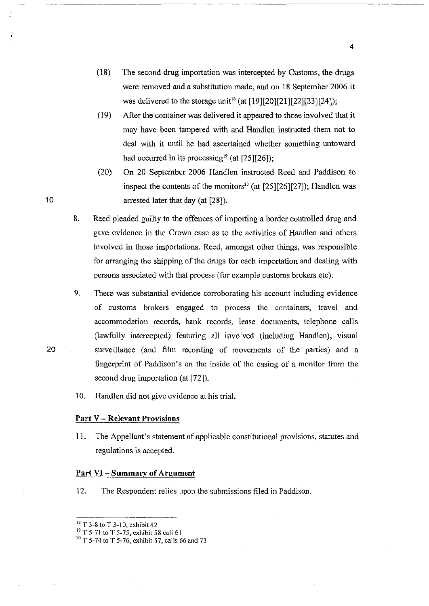- (18) The second drug importation was intercepted by Customs, the drugs were removed and a substitution made, and on 18 September 2006 it was delivered to the storage unit<sup>18</sup> (at  $[19][20][21][22][23][24]$ );
- (19) After the container was delivered it appeared to those involved that it may have been tampered with and Handlen instructed them not to deal with it until he had ascertained whether something untoward had occurred in its processing<sup>19</sup> (at  $[25][26]$ );
- (20) On 20 September 2006 Haridlen instructed Reed and Paddison to inspect the contents of the monitors<sup>20</sup> (at  $[25][26][27]$ ); Handlen was arrested later that day (at [28]).
- 8. Reed pleaded guilty to the offences of importing a border controlled drug and gave evidence in the Crown case as to the activities of Handlen and others involved in those importations. Reed, amongst other things, was responsible for arranging the shipping of the drugs for each importation and dealing with persons associated with that process (for example customs brokers etc).
- 9. There was substantial evidence corroborating his account including evidence of customs brokers engaged to process the containers, travel and accommodation records, bank records, lease documents, telephone calls (lawfully intercepted) featuring all involved (including Handlen), visual surveillance (and film recording of movements of the parties) and a fingerprint of Paddison's on the inside of the casing of a monitor from the second drug importation (at [72]).
- 10. Handlcn did not give evidence at his trial.

# **Part** V - **Relevant** Provisions

11. The Appellant's statement of applicable constitutional provisions, statutes and regulations is accepted.

### **Part VI -Summary of Argument**

12. The Respondent relies upon the submissions filed in Paddison.

4

20

10

<sup>&</sup>lt;sup>18</sup> T 3-8 to T 3-10, exhibit 42

 $19$  T 5-71 to T 5-75, exhibit 58 call 61

 $20$  T 5-74 to T 5-76, exhibit 57, calls 66 and 73